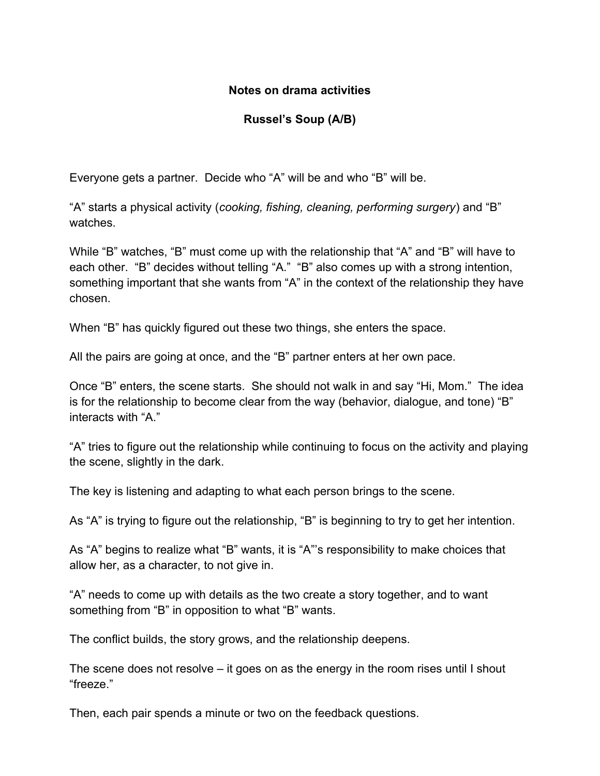#### **Notes on drama activities**

### **Russel's Soup (A/B)**

Everyone gets a partner. Decide who "A" will be and who "B" will be.

"A" starts a physical activity (*cooking, fishing, cleaning, performing surgery*) and "B" watches.

While "B" watches, "B" must come up with the relationship that "A" and "B" will have to each other. "B" decides without telling "A." "B" also comes up with a strong intention, something important that she wants from "A" in the context of the relationship they have chosen.

When "B" has quickly figured out these two things, she enters the space.

All the pairs are going at once, and the "B" partner enters at her own pace.

Once "B" enters, the scene starts. She should not walk in and say "Hi, Mom." The idea is for the relationship to become clear from the way (behavior, dialogue, and tone) "B" interacts with "A."

"A" tries to figure out the relationship while continuing to focus on the activity and playing the scene, slightly in the dark.

The key is listening and adapting to what each person brings to the scene.

As "A" is trying to figure out the relationship, "B" is beginning to try to get her intention.

As "A" begins to realize what "B" wants, it is "A"'s responsibility to make choices that allow her, as a character, to not give in.

"A" needs to come up with details as the two create a story together, and to want something from "B" in opposition to what "B" wants.

The conflict builds, the story grows, and the relationship deepens.

The scene does not resolve – it goes on as the energy in the room rises until I shout "freeze."

Then, each pair spends a minute or two on the feedback questions.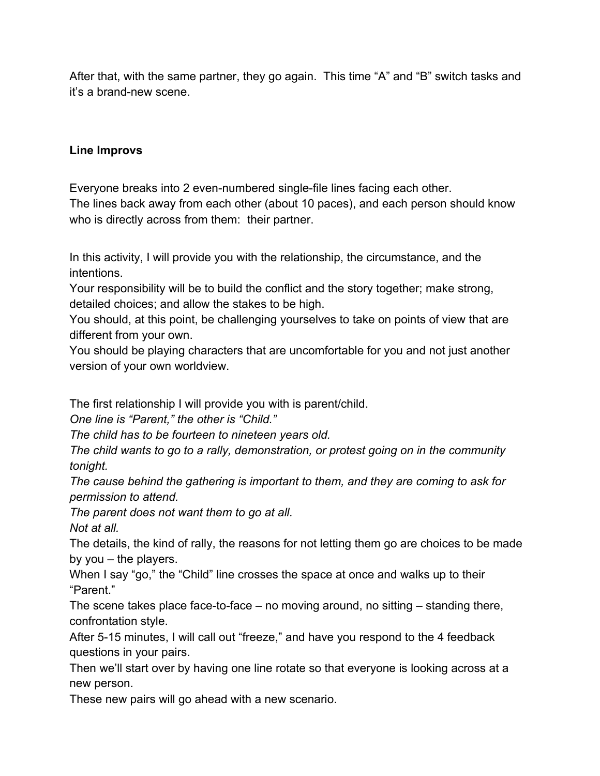After that, with the same partner, they go again. This time "A" and "B" switch tasks and it's a brand-new scene.

#### **Line Improvs**

Everyone breaks into 2 even-numbered single-file lines facing each other. The lines back away from each other (about 10 paces), and each person should know who is directly across from them: their partner.

In this activity, I will provide you with the relationship, the circumstance, and the intentions.

Your responsibility will be to build the conflict and the story together; make strong, detailed choices; and allow the stakes to be high.

You should, at this point, be challenging yourselves to take on points of view that are different from your own.

You should be playing characters that are uncomfortable for you and not just another version of your own worldview.

The first relationship I will provide you with is parent/child.

*One line is "Parent," the other is "Child."*

*The child has to be fourteen to nineteen years old.*

*The child wants to go to a rally, demonstration, or protest going on in the community tonight.*

*The cause behind the gathering is important to them, and they are coming to ask for permission to attend.*

*The parent does not want them to go at all.*

*Not at all.*

The details, the kind of rally, the reasons for not letting them go are choices to be made by you – the players.

When I say "go," the "Child" line crosses the space at once and walks up to their "Parent."

The scene takes place face-to-face – no moving around, no sitting – standing there, confrontation style.

After 5-15 minutes, I will call out "freeze," and have you respond to the 4 feedback questions in your pairs.

Then we'll start over by having one line rotate so that everyone is looking across at a new person.

These new pairs will go ahead with a new scenario.